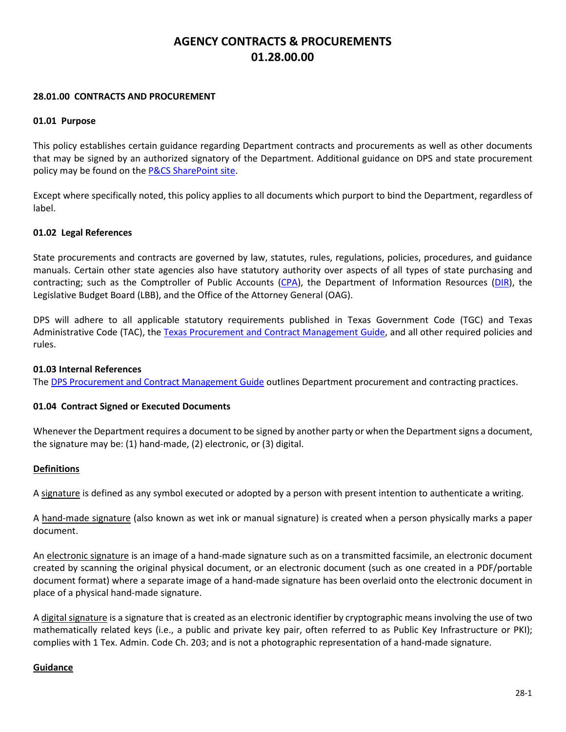# **AGENCY CONTRACTS & PROCUREMENTS 01.28.00.00**

### **28.01.00 CONTRACTS AND PROCUREMENT**

### **01.01 Purpose**

This policy establishes certain guidance regarding Department contracts and procurements as well as other documents that may be signed by an authorized signatory of the Department. Additional guidance on DPS and state procurement policy may be found on th[e P&CS SharePoint site.](https://portal.tle.dps/sites/admin/support/pcs/SitePages/Home.aspx)

Except where specifically noted, this policy applies to all documents which purport to bind the Department, regardless of label.

### **01.02 Legal References**

State procurements and contracts are governed by law, statutes, rules, regulations, policies, procedures, and guidance manuals. Certain other state agencies also have statutory authority over aspects of all types of state purchasing and contracting; such as the Comptroller of Public Accounts [\(CPA\)](http://comptroller.texas.gov/procurement/), the Department of Information Resources [\(DIR\)](http://dir.texas.gov/), the Legislative Budget Board (LBB), and the Office of the Attorney General (OAG).

DPS will adhere to all applicable statutory requirements published in Texas Government Code (TGC) and Texas Administrative Code (TAC), the [Texas Procurement and Contract Management Guide,](https://comptroller.texas.gov/purchasing/publications/procurement-contract.php) and all other required policies and rules.

#### **01.03 Internal References**

The [DPS Procurement and Contract Management Guide](https://portal.tle.dps/sites/admin/support/pcs/SitePages/Manuals%20and%20Reference%20Guides%20and%20Forms.aspx) outlines Department procurement and contracting practices.

### **01.04 Contract Signed or Executed Documents**

Whenever the Department requires a document to be signed by another party or when the Department signs a document, the signature may be: (1) hand-made, (2) electronic, or (3) digital.

#### **Definitions**

A signature is defined as any symbol executed or adopted by a person with present intention to authenticate a writing.

A hand-made signature (also known as wet ink or manual signature) is created when a person physically marks a paper document.

An electronic signature is an image of a hand-made signature such as on a transmitted facsimile, an electronic document created by scanning the original physical document, or an electronic document (such as one created in a PDF/portable document format) where a separate image of a hand-made signature has been overlaid onto the electronic document in place of a physical hand-made signature.

A digital signature is a signature that is created as an electronic identifier by cryptographic means involving the use of two mathematically related keys (i.e., a public and private key pair, often referred to as Public Key Infrastructure or PKI); complies with 1 Tex. Admin. Code Ch. 203; and is not a photographic representation of a hand-made signature.

#### **Guidance**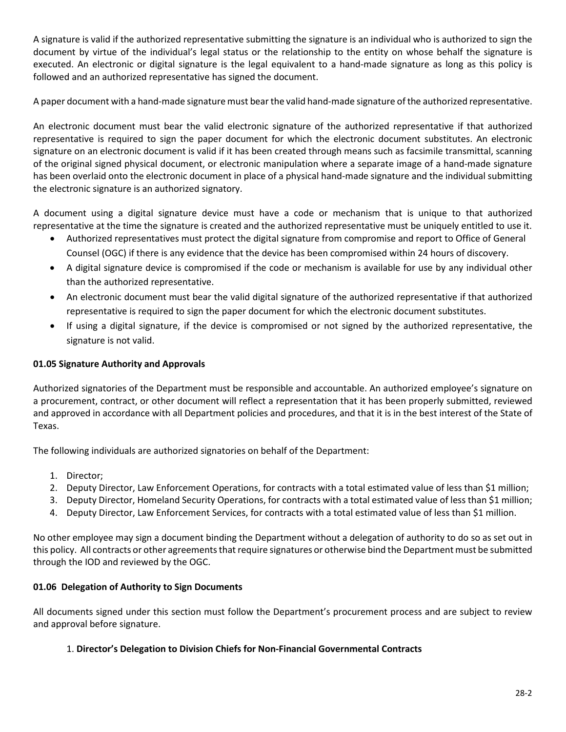A signature is valid if the authorized representative submitting the signature is an individual who is authorized to sign the document by virtue of the individual's legal status or the relationship to the entity on whose behalf the signature is executed. An electronic or digital signature is the legal equivalent to a hand-made signature as long as this policy is followed and an authorized representative has signed the document.

A paper document with a hand-made signature must bear the valid hand-made signature of the authorized representative.

An electronic document must bear the valid electronic signature of the authorized representative if that authorized representative is required to sign the paper document for which the electronic document substitutes. An electronic signature on an electronic document is valid if it has been created through means such as facsimile transmittal, scanning of the original signed physical document, or electronic manipulation where a separate image of a hand-made signature has been overlaid onto the electronic document in place of a physical hand-made signature and the individual submitting the electronic signature is an authorized signatory.

A document using a digital signature device must have a code or mechanism that is unique to that authorized representative at the time the signature is created and the authorized representative must be uniquely entitled to use it.

- Authorized representatives must protect the digital signature from compromise and report to Office of General Counsel (OGC) if there is any evidence that the device has been compromised within 24 hours of discovery.
- A digital signature device is compromised if the code or mechanism is available for use by any individual other than the authorized representative.
- An electronic document must bear the valid digital signature of the authorized representative if that authorized representative is required to sign the paper document for which the electronic document substitutes.
- If using a digital signature, if the device is compromised or not signed by the authorized representative, the signature is not valid.

# **01.05 Signature Authority and Approvals**

Authorized signatories of the Department must be responsible and accountable. An authorized employee's signature on a procurement, contract, or other document will reflect a representation that it has been properly submitted, reviewed and approved in accordance with all Department policies and procedures, and that it is in the best interest of the State of Texas.

The following individuals are authorized signatories on behalf of the Department:

- 1. Director;
- 2. Deputy Director, Law Enforcement Operations, for contracts with a total estimated value of less than \$1 million;
- 3. Deputy Director, Homeland Security Operations, for contracts with a total estimated value of less than \$1 million;
- 4. Deputy Director, Law Enforcement Services, for contracts with a total estimated value of less than \$1 million.

No other employee may sign a document binding the Department without a delegation of authority to do so as set out in this policy. All contracts or other agreements that require signatures or otherwise bind the Department must be submitted through the IOD and reviewed by the OGC.

### **01.06 Delegation of Authority to Sign Documents**

All documents signed under this section must follow the Department's procurement process and are subject to review and approval before signature.

### 1. **Director's Delegation to Division Chiefs for Non-Financial Governmental Contracts**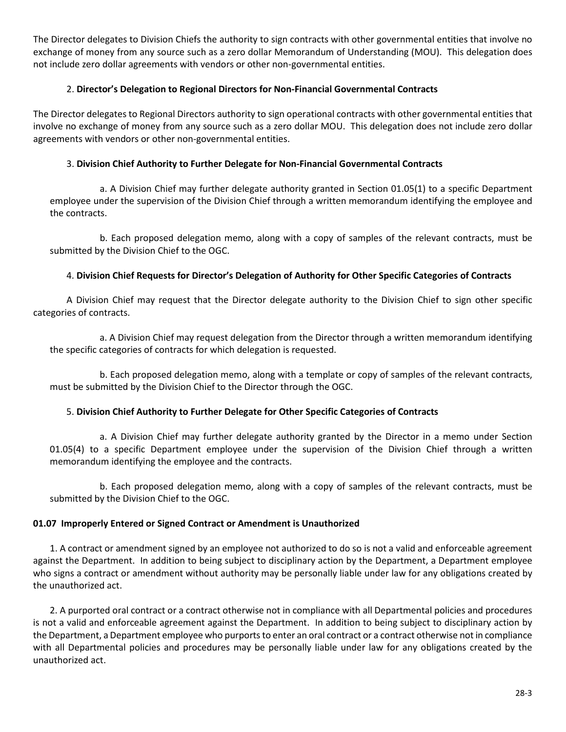The Director delegates to Division Chiefs the authority to sign contracts with other governmental entities that involve no exchange of money from any source such as a zero dollar Memorandum of Understanding (MOU). This delegation does not include zero dollar agreements with vendors or other non-governmental entities.

# 2. **Director's Delegation to Regional Directors for Non-Financial Governmental Contracts**

The Director delegates to Regional Directors authority to sign operational contracts with other governmental entities that involve no exchange of money from any source such as a zero dollar MOU. This delegation does not include zero dollar agreements with vendors or other non-governmental entities.

### 3. **Division Chief Authority to Further Delegate for Non-Financial Governmental Contracts**

a. A Division Chief may further delegate authority granted in Section 01.05(1) to a specific Department employee under the supervision of the Division Chief through a written memorandum identifying the employee and the contracts.

b. Each proposed delegation memo, along with a copy of samples of the relevant contracts, must be submitted by the Division Chief to the OGC.

# 4. **Division Chief Requests for Director's Delegation of Authority for Other Specific Categories of Contracts**

A Division Chief may request that the Director delegate authority to the Division Chief to sign other specific categories of contracts.

a. A Division Chief may request delegation from the Director through a written memorandum identifying the specific categories of contracts for which delegation is requested.

b. Each proposed delegation memo, along with a template or copy of samples of the relevant contracts, must be submitted by the Division Chief to the Director through the OGC.

### 5. **Division Chief Authority to Further Delegate for Other Specific Categories of Contracts**

a. A Division Chief may further delegate authority granted by the Director in a memo under Section 01.05(4) to a specific Department employee under the supervision of the Division Chief through a written memorandum identifying the employee and the contracts.

b. Each proposed delegation memo, along with a copy of samples of the relevant contracts, must be submitted by the Division Chief to the OGC.

### **01.07 Improperly Entered or Signed Contract or Amendment is Unauthorized**

1. A contract or amendment signed by an employee not authorized to do so is not a valid and enforceable agreement against the Department. In addition to being subject to disciplinary action by the Department, a Department employee who signs a contract or amendment without authority may be personally liable under law for any obligations created by the unauthorized act.

2. A purported oral contract or a contract otherwise not in compliance with all Departmental policies and procedures is not a valid and enforceable agreement against the Department. In addition to being subject to disciplinary action by the Department, a Department employee who purports to enter an oral contract or a contract otherwise not in compliance with all Departmental policies and procedures may be personally liable under law for any obligations created by the unauthorized act.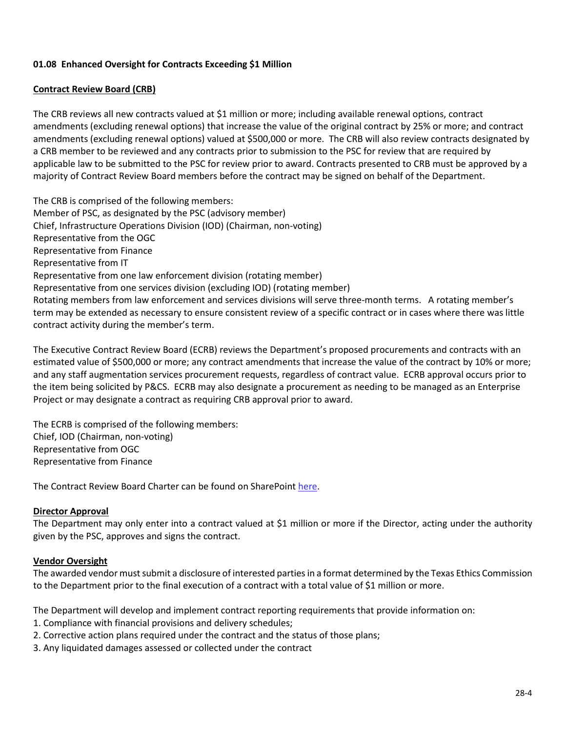# **01.08 Enhanced Oversight for Contracts Exceeding \$1 Million**

# **Contract Review Board (CRB)**

The CRB reviews all new contracts valued at \$1 million or more; including available renewal options, contract amendments (excluding renewal options) that increase the value of the original contract by 25% or more; and contract amendments (excluding renewal options) valued at \$500,000 or more. The CRB will also review contracts designated by a CRB member to be reviewed and any contracts prior to submission to the PSC for review that are required by applicable law to be submitted to the PSC for review prior to award. Contracts presented to CRB must be approved by a majority of Contract Review Board members before the contract may be signed on behalf of the Department.

The CRB is comprised of the following members: Member of PSC, as designated by the PSC (advisory member) Chief, Infrastructure Operations Division (IOD) (Chairman, non-voting) Representative from the OGC Representative from Finance Representative from IT Representative from one law enforcement division (rotating member) Representative from one services division (excluding IOD) (rotating member) Rotating members from law enforcement and services divisions will serve three-month terms. A rotating member's term may be extended as necessary to ensure consistent review of a specific contract or in cases where there was little contract activity during the member's term.

The Executive Contract Review Board (ECRB) reviews the Department's proposed procurements and contracts with an estimated value of \$500,000 or more; any contract amendments that increase the value of the contract by 10% or more; and any staff augmentation services procurement requests, regardless of contract value. ECRB approval occurs prior to the item being solicited by P&CS. ECRB may also designate a procurement as needing to be managed as an Enterprise Project or may designate a contract as requiring CRB approval prior to award.

The ECRB is comprised of the following members: Chief, IOD (Chairman, non-voting) Representative from OGC Representative from Finance

The Contract Review Board Charter can be found on SharePoin[t here.](https://portal.tle.dps/sites/admin/Contract%20Review%20Board/Forms/AllItems.aspx)

### **Director Approval**

The Department may only enter into a contract valued at \$1 million or more if the Director, acting under the authority given by the PSC, approves and signs the contract.

### **Vendor Oversight**

The awarded vendor must submit a disclosure of interested parties in a format determined by the Texas Ethics Commission to the Department prior to the final execution of a contract with a total value of \$1 million or more.

The Department will develop and implement contract reporting requirements that provide information on:

- 1. Compliance with financial provisions and delivery schedules;
- 2. Corrective action plans required under the contract and the status of those plans;
- 3. Any liquidated damages assessed or collected under the contract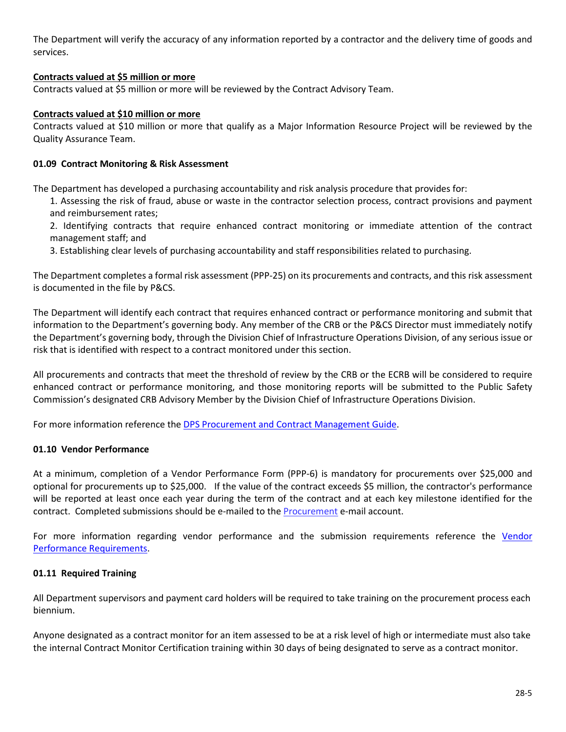The Department will verify the accuracy of any information reported by a contractor and the delivery time of goods and services.

### **Contracts valued at \$5 million or more**

Contracts valued at \$5 million or more will be reviewed by the Contract Advisory Team.

### **Contracts valued at \$10 million or more**

Contracts valued at \$10 million or more that qualify as a Major Information Resource Project will be reviewed by the Quality Assurance Team.

### **01.09 Contract Monitoring & Risk Assessment**

The Department has developed a purchasing accountability and risk analysis procedure that provides for:

1. Assessing the risk of fraud, abuse or waste in the contractor selection process, contract provisions and payment and reimbursement rates;

2. Identifying contracts that require enhanced contract monitoring or immediate attention of the contract management staff; and

3. Establishing clear levels of purchasing accountability and staff responsibilities related to purchasing.

The Department completes a formal risk assessment (PPP-25) on its procurements and contracts, and this risk assessment is documented in the file by P&CS.

The Department will identify each contract that requires enhanced contract or performance monitoring and submit that information to the Department's governing body. Any member of the CRB or the P&CS Director must immediately notify the Department's governing body, through the Division Chief of Infrastructure Operations Division, of any serious issue or risk that is identified with respect to a contract monitored under this section.

All procurements and contracts that meet the threshold of review by the CRB or the ECRB will be considered to require enhanced contract or performance monitoring, and those monitoring reports will be submitted to the Public Safety Commission's designated CRB Advisory Member by the Division Chief of Infrastructure Operations Division.

For more information reference th[e DPS Procurement and Contract Management Guide.](https://portal.tle.dps/sites/admin/support/pcs/SitePages/Manuals%20and%20Reference%20Guides%20and%20Forms.aspx)

### **01.10 Vendor Performance**

At a minimum, completion of a Vendor Performance Form (PPP-6) is mandatory for procurements over \$25,000 and optional for procurements up to \$25,000. If the value of the contract exceeds \$5 million, the contractor's performance will be reported at least once each year during the term of the contract and at each key milestone identified for the contract. Completed submissions should be e-mailed to th[e Procurement](mailto:procurement@dps.texas.gov) e-mail account.

For more information regarding vendor performance and the submission requirements reference the [Vendor](https://portal.tle.dps/sites/admin/support/pcs/Procurement%20Training%20Materials/Vendor%20Performance%20Reporting.pdf)  [Performance Requirements.](https://portal.tle.dps/sites/admin/support/pcs/Procurement%20Training%20Materials/Vendor%20Performance%20Reporting.pdf)

### **01.11 Required Training**

All Department supervisors and payment card holders will be required to take training on the procurement process each biennium.

Anyone designated as a contract monitor for an item assessed to be at a risk level of high or intermediate must also take the internal Contract Monitor Certification training within 30 days of being designated to serve as a contract monitor.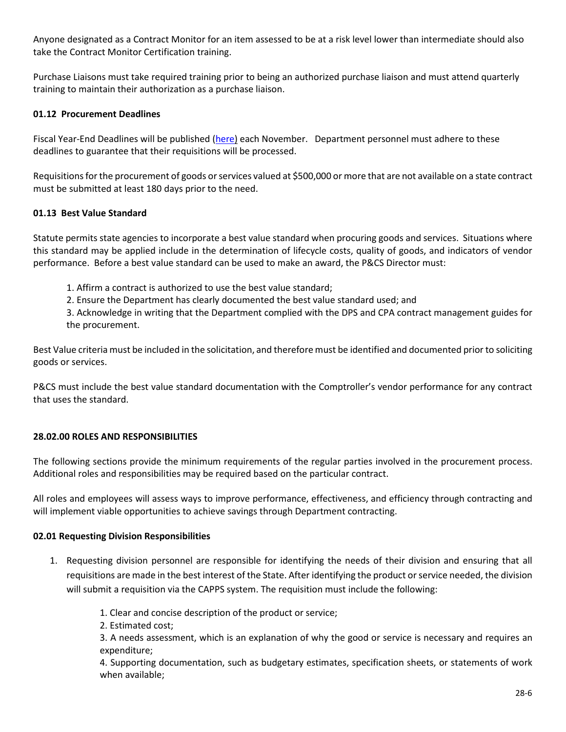Anyone designated as a Contract Monitor for an item assessed to be at a risk level lower than intermediate should also take the Contract Monitor Certification training.

Purchase Liaisons must take required training prior to being an authorized purchase liaison and must attend quarterly training to maintain their authorization as a purchase liaison.

### **01.12 Procurement Deadlines**

Fiscal Year-End Deadlines will be published [\(here\)](https://portal.tle.dps/sites/admin/support/pcs/SitePages/Purchasing.aspx?WikiPageMode=Edit&InitialTabId=Ribbon.EditingTools.CPEditTab&VisibilityContext=WSSWikiPage) each November. Department personnel must adhere to these deadlines to guarantee that their requisitions will be processed.

Requisitions for the procurement of goods or services valued at \$500,000 or more that are not available on a state contract must be submitted at least 180 days prior to the need.

# **01.13 Best Value Standard**

Statute permits state agencies to incorporate a best value standard when procuring goods and services. Situations where this standard may be applied include in the determination of lifecycle costs, quality of goods, and indicators of vendor performance. Before a best value standard can be used to make an award, the P&CS Director must:

- 1. Affirm a contract is authorized to use the best value standard;
- 2. Ensure the Department has clearly documented the best value standard used; and

3. Acknowledge in writing that the Department complied with the DPS and CPA contract management guides for the procurement.

Best Value criteria must be included in the solicitation, and therefore must be identified and documented prior to soliciting goods or services.

P&CS must include the best value standard documentation with the Comptroller's vendor performance for any contract that uses the standard.

### **28.02.00 ROLES AND RESPONSIBILITIES**

The following sections provide the minimum requirements of the regular parties involved in the procurement process. Additional roles and responsibilities may be required based on the particular contract.

All roles and employees will assess ways to improve performance, effectiveness, and efficiency through contracting and will implement viable opportunities to achieve savings through Department contracting.

### **02.01 Requesting Division Responsibilities**

- 1. Requesting division personnel are responsible for identifying the needs of their division and ensuring that all requisitions are made in the best interest of the State. After identifying the product or service needed, the division will submit a requisition via the CAPPS system. The requisition must include the following:
	- 1. Clear and concise description of the product or service;
	- 2. Estimated cost;

3. A needs assessment, which is an explanation of why the good or service is necessary and requires an expenditure;

4. Supporting documentation, such as budgetary estimates, specification sheets, or statements of work when available;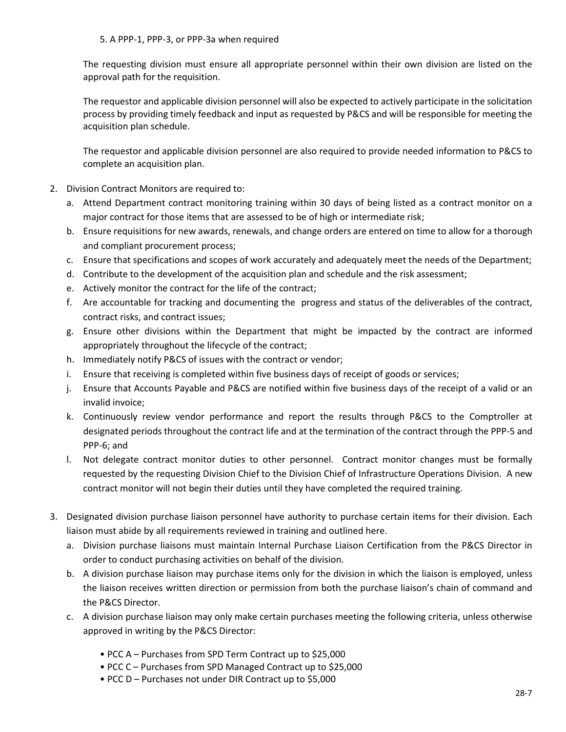The requesting division must ensure all appropriate personnel within their own division are listed on the approval path for the requisition.

The requestor and applicable division personnel will also be expected to actively participate in the solicitation process by providing timely feedback and input as requested by P&CS and will be responsible for meeting the acquisition plan schedule.

The requestor and applicable division personnel are also required to provide needed information to P&CS to complete an acquisition plan.

- 2. Division Contract Monitors are required to:
	- a. Attend Department contract monitoring training within 30 days of being listed as a contract monitor on a major contract for those items that are assessed to be of high or intermediate risk;
	- b. Ensure requisitions for new awards, renewals, and change orders are entered on time to allow for a thorough and compliant procurement process;
	- c. Ensure that specifications and scopes of work accurately and adequately meet the needs of the Department;
	- d. Contribute to the development of the acquisition plan and schedule and the risk assessment;
	- e. Actively monitor the contract for the life of the contract;
	- f. Are accountable for tracking and documenting the progress and status of the deliverables of the contract, contract risks, and contract issues;
	- g. Ensure other divisions within the Department that might be impacted by the contract are informed appropriately throughout the lifecycle of the contract;
	- h. Immediately notify P&CS of issues with the contract or vendor;
	- i. Ensure that receiving is completed within five business days of receipt of goods or services;
	- j. Ensure that Accounts Payable and P&CS are notified within five business days of the receipt of a valid or an invalid invoice;
	- k. Continuously review vendor performance and report the results through P&CS to the Comptroller at designated periods throughout the contract life and at the termination of the contract through the PPP-5 and [PPP-6;](http://dpsnet/intranetforms/default/FormDetail.aspx?Id=2712&FormNumber=PPP-6.pdf) and
	- l. Not delegate contract monitor duties to other personnel. Contract monitor changes must be formally requested by the requesting Division Chief to the Division Chief of Infrastructure Operations Division. A new contract monitor will not begin their duties until they have completed the required training.
- 3. Designated division purchase liaison personnel have authority to purchase certain items for their division. Each liaison must abide by all requirements reviewed in training and outlined here.
	- a. Division purchase liaisons must maintain Internal Purchase Liaison Certification from the P&CS Director in order to conduct purchasing activities on behalf of the division.
	- b. A division purchase liaison may purchase items only for the division in which the liaison is employed, unless the liaison receives written direction or permission from both the purchase liaison's chain of command and the P&CS Director.
	- c. A division purchase liaison may only make certain purchases meeting the following criteria, unless otherwise approved in writing by the P&CS Director:
		- PCC A Purchases from SPD Term Contract up to \$25,000
		- PCC C Purchases from SPD Managed Contract up to \$25,000
		- PCC D Purchases not under DIR Contract up to \$5,000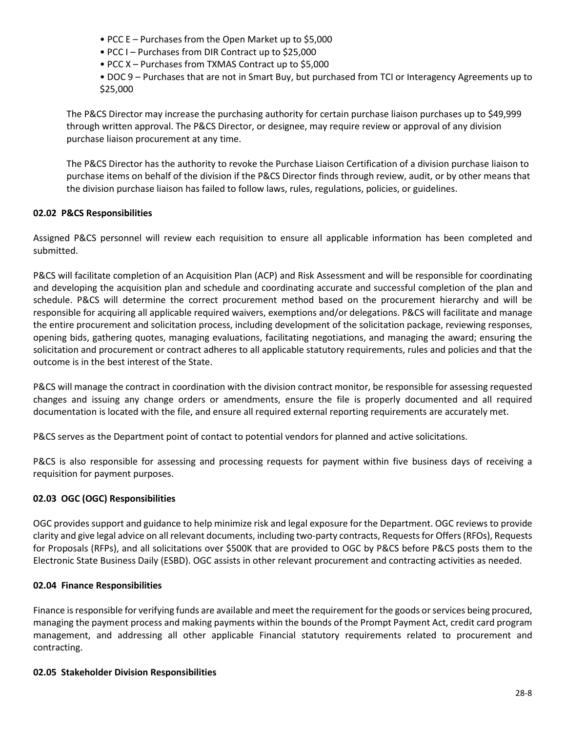- PCC E Purchases from the Open Market up to \$5,000
- PCC I Purchases from DIR Contract up to \$25,000
- PCC X Purchases from TXMAS Contract up to \$5,000
- DOC 9 Purchases that are not in Smart Buy, but purchased from TCI or Interagency Agreements up to \$25,000

The P&CS Director may increase the purchasing authority for certain purchase liaison purchases up to \$49,999 through written approval. The P&CS Director, or designee, may require review or approval of any division purchase liaison procurement at any time.

The P&CS Director has the authority to revoke the Purchase Liaison Certification of a division purchase liaison to purchase items on behalf of the division if the P&CS Director finds through review, audit, or by other means that the division purchase liaison has failed to follow laws, rules, regulations, policies, or guidelines.

# **02.02 P&CS Responsibilities**

Assigned P&CS personnel will review each requisition to ensure all applicable information has been completed and submitted.

P&CS will facilitate completion of an Acquisition Plan (ACP) and Risk Assessment and will be responsible for coordinating and developing the acquisition plan and schedule and coordinating accurate and successful completion of the plan and schedule. P&CS will determine the correct procurement method based on the procurement hierarchy and will be responsible for acquiring all applicable required waivers, exemptions and/or delegations. P&CS will facilitate and manage the entire procurement and solicitation process, including development of the solicitation package, reviewing responses, opening bids, gathering quotes, managing evaluations, facilitating negotiations, and managing the award; ensuring the solicitation and procurement or contract adheres to all applicable statutory requirements, rules and policies and that the outcome is in the best interest of the State.

P&CS will manage the contract in coordination with the division contract monitor, be responsible for assessing requested changes and issuing any change orders or amendments, ensure the file is properly documented and all required documentation is located with the file, and ensure all required external reporting requirements are accurately met.

P&CS serves as the Department point of contact to potential vendors for planned and active solicitations.

P&CS is also responsible for assessing and processing requests for payment within five business days of receiving a requisition for payment purposes.

# **02.03 OGC (OGC) Responsibilities**

OGC provides support and guidance to help minimize risk and legal exposure for the Department. OGC reviews to provide clarity and give legal advice on all relevant documents, including two-party contracts, Requests for Offers (RFOs), Requests for Proposals (RFPs), and all solicitations over \$500K that are provided to OGC by P&CS before P&CS posts them to the Electronic State Business Daily (ESBD). OGC assists in other relevant procurement and contracting activities as needed.

# **02.04 Finance Responsibilities**

Finance is responsible for verifying funds are available and meet the requirement for the goods or services being procured, managing the payment process and making payments within the bounds of the Prompt Payment Act, credit card program management, and addressing all other applicable Financial statutory requirements related to procurement and contracting.

# **02.05 Stakeholder Division Responsibilities**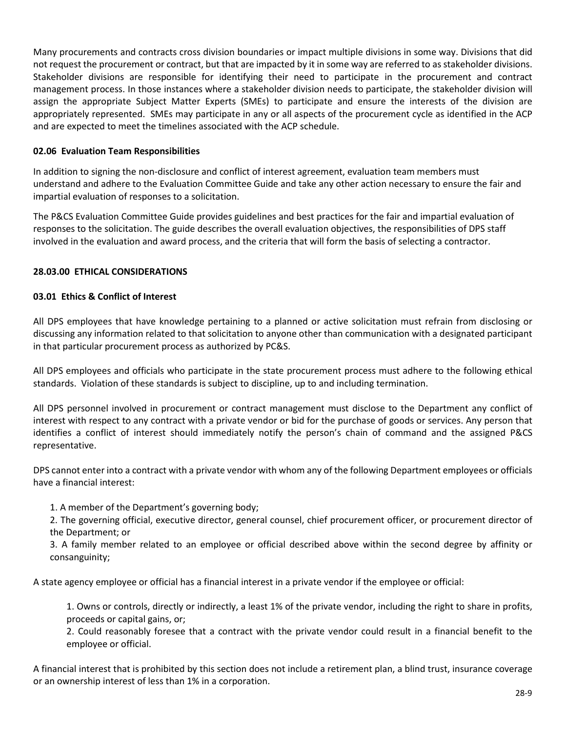Many procurements and contracts cross division boundaries or impact multiple divisions in some way. Divisions that did not request the procurement or contract, but that are impacted by it in some way are referred to as stakeholder divisions. Stakeholder divisions are responsible for identifying their need to participate in the procurement and contract management process. In those instances where a stakeholder division needs to participate, the stakeholder division will assign the appropriate Subject Matter Experts (SMEs) to participate and ensure the interests of the division are appropriately represented. SMEs may participate in any or all aspects of the procurement cycle as identified in the ACP and are expected to meet the timelines associated with the ACP schedule.

# **02.06 Evaluation Team Responsibilities**

In addition to signing the non-disclosure and conflict of interest agreement, evaluation team members must understand and adhere to the Evaluation Committee Guide and take any other action necessary to ensure the fair and impartial evaluation of responses to a solicitation.

The P&CS Evaluation Committee Guide provides guidelines and best practices for the fair and impartial evaluation of responses to the solicitation. The guide describes the overall evaluation objectives, the responsibilities of DPS staff involved in the evaluation and award process, and the criteria that will form the basis of selecting a contractor.

# **28.03.00 ETHICAL CONSIDERATIONS**

# **03.01 Ethics & Conflict of Interest**

All DPS employees that have knowledge pertaining to a planned or active solicitation must refrain from disclosing or discussing any information related to that solicitation to anyone other than communication with a designated participant in that particular procurement process as authorized by PC&S.

All DPS employees and officials who participate in the state procurement process must adhere to the following ethical standards. Violation of these standards is subject to discipline, up to and including termination.

All DPS personnel involved in procurement or contract management must disclose to the Department any conflict of interest with respect to any contract with a private vendor or bid for the purchase of goods or services. Any person that identifies a conflict of interest should immediately notify the person's chain of command and the assigned P&CS representative.

DPS cannot enter into a contract with a private vendor with whom any of the following Department employees or officials have a financial interest:

- 1. A member of the Department's governing body;
- 2. The governing official, executive director, general counsel, chief procurement officer, or procurement director of the Department; or
- 3. A family member related to an employee or official described above within the second degree by affinity or consanguinity;

A state agency employee or official has a financial interest in a private vendor if the employee or official:

1. Owns or controls, directly or indirectly, a least 1% of the private vendor, including the right to share in profits, proceeds or capital gains, or;

2. Could reasonably foresee that a contract with the private vendor could result in a financial benefit to the employee or official.

A financial interest that is prohibited by this section does not include a retirement plan, a blind trust, insurance coverage or an ownership interest of less than 1% in a corporation.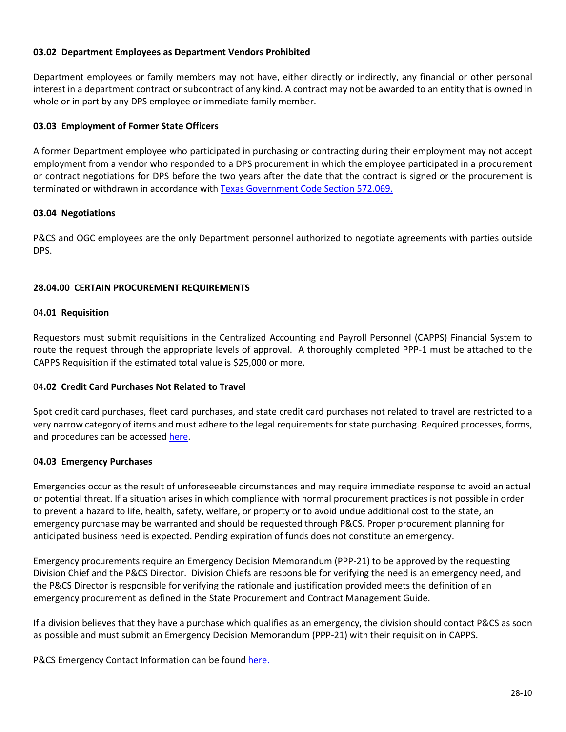### **03.02 Department Employees as Department Vendors Prohibited**

Department employees or family members may not have, either directly or indirectly, any financial or other personal interest in a department contract or subcontract of any kind. A contract may not be awarded to an entity that is owned in whole or in part by any DPS employee or immediate family member.

### **03.03 Employment of Former State Officers**

A former Department employee who participated in purchasing or contracting during their employment may not accept employment from a vendor who responded to a DPS procurement in which the employee participated in a procurement or contract negotiations for DPS before the two years after the date that the contract is signed or the procurement is terminated or withdrawn in accordance wit[h Texas Government Code Section 572.069.](https://statutes.capitol.texas.gov/Docs/GV/htm/GV.572.htm) 

### **03.04 Negotiations**

P&CS and OGC employees are the only Department personnel authorized to negotiate agreements with parties outside DPS.

# **28.04.00 CERTAIN PROCUREMENT REQUIREMENTS**

### 04**.01 Requisition**

Requestors must submit requisitions in the Centralized Accounting and Payroll Personnel (CAPPS) Financial System to route the request through the appropriate levels of approval. A thoroughly completed PPP-1 must be attached to the CAPPS Requisition if the estimated total value is \$25,000 or more.

### 04**.02 Credit Card Purchases Not Related to Travel**

Spot credit card purchases, fleet card purchases, and state credit card purchases not related to travel are restricted to a very narrow category of items and must adhere to the legal requirements for state purchasing. Required processes, forms, and procedures can be accessed [here.](https://portal.tle.dps/sites/admin/support/pcs/SitePages/Credit%20Card%20Programs.aspx)

### 0**4.03 Emergency Purchases**

Emergencies occur as the result of unforeseeable circumstances and may require immediate response to avoid an actual or potential threat. If a situation arises in which compliance with normal procurement practices is not possible in order to prevent a hazard to life, health, safety, welfare, or property or to avoid undue additional cost to the state, an emergency purchase may be warranted and should be requested through P&CS. Proper procurement planning for anticipated business need is expected. Pending expiration of funds does not constitute an emergency.

Emergency procurements require an Emergency Decision Memorandum (PPP-21) to be approved by the requesting Division Chief and the P&CS Director. Division Chiefs are responsible for verifying the need is an emergency need, and the P&CS Director is responsible for verifying the rationale and justification provided meets the definition of an emergency procurement as defined in the State Procurement and Contract Management Guide.

If a division believes that they have a purchase which qualifies as an emergency, the division should contact P&CS as soon as possible and must submit an Emergency Decision Memorandum (PPP-21) with their requisition in CAPPS.

P&CS Emergency Contact Information can be foun[d here.](https://portal.tle.dps/sites/admin/support/pcs/SiteAssets/SitePages/Home/PCS%20After%20Hours%20Contact%20List.pdf)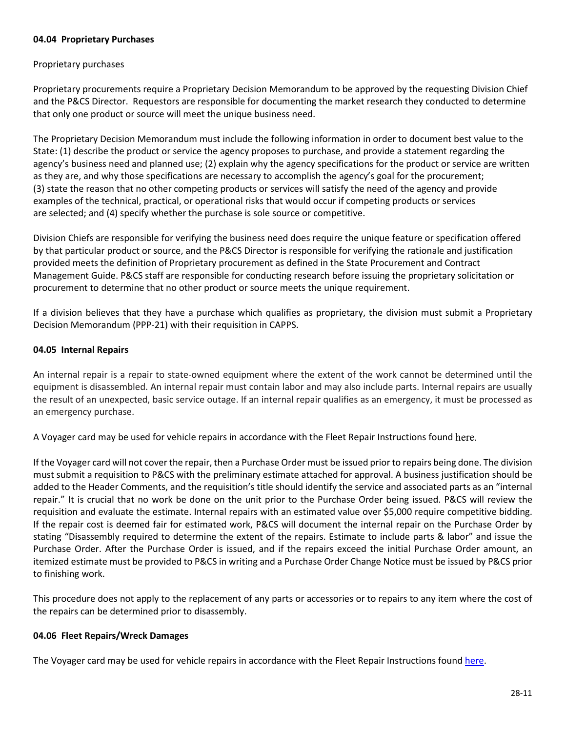### **04.04 Proprietary Purchases**

### Proprietary purchases

Proprietary procurements require a Proprietary Decision Memorandum to be approved by the requesting Division Chief and the P&CS Director. Requestors are responsible for documenting the market research they conducted to determine that only one product or source will meet the unique business need.

The Proprietary Decision Memorandum must include the following information in order to document best value to the State: (1) describe the product or service the agency proposes to purchase, and provide a statement regarding the agency's business need and planned use; (2) explain why the agency specifications for the product or service are written as they are, and why those specifications are necessary to accomplish the agency's goal for the procurement; (3) state the reason that no other competing products or services will satisfy the need of the agency and provide examples of the technical, practical, or operational risks that would occur if competing products or services are selected; and (4) specify whether the purchase is sole source or competitive.

Division Chiefs are responsible for verifying the business need does require the unique feature or specification offered by that particular product or source, and the P&CS Director is responsible for verifying the rationale and justification provided meets the definition of Proprietary procurement as defined in the State Procurement and Contract Management Guide. P&CS staff are responsible for conducting research before issuing the proprietary solicitation or procurement to determine that no other product or source meets the unique requirement.

If a division believes that they have a purchase which qualifies as proprietary, the division must submit a Proprietary Decision Memorandum (PPP-21) with their requisition in CAPPS.

### **04.05 Internal Repairs**

An internal repair is a repair to state-owned equipment where the extent of the work cannot be determined until the equipment is disassembled. An internal repair must contain labor and may also include parts. Internal repairs are usually the result of an unexpected, basic service outage. If an internal repair qualifies as an emergency, it must be processed as an emergency purchase.

A Voyager card may be used for vehicle repairs in accordance with the Fleet Repair Instructions found [here](https://portal.tle.dps/sites/admin/support/pcs/SitePages/Fleet.aspx).

If the Voyager card will not cover the repair, then a Purchase Order must be issued prior to repairs being done. The division must submit a requisition to P&CS with the preliminary estimate attached for approval. A business justification should be added to the Header Comments, and the requisition's title should identify the service and associated parts as an "internal repair." It is crucial that no work be done on the unit prior to the Purchase Order being issued. P&CS will review the requisition and evaluate the estimate. Internal repairs with an estimated value over \$5,000 require competitive bidding. If the repair cost is deemed fair for estimated work, P&CS will document the internal repair on the Purchase Order by stating "Disassembly required to determine the extent of the repairs. Estimate to include parts & labor" and issue the Purchase Order. After the Purchase Order is issued, and if the repairs exceed the initial Purchase Order amount, an itemized estimate must be provided to P&CS in writing and a Purchase Order Change Notice must be issued by P&CS prior to finishing work.

This procedure does not apply to the replacement of any parts or accessories or to repairs to any item where the cost of the repairs can be determined prior to disassembly.

### **04.06 Fleet Repairs/Wreck Damages**

The Voyager card may be used for vehicle repairs in accordance with the Fleet Repair Instructions found [here.](https://portal.tle.dps/sites/admin/support/pcs/SitePages/Fleet.aspx)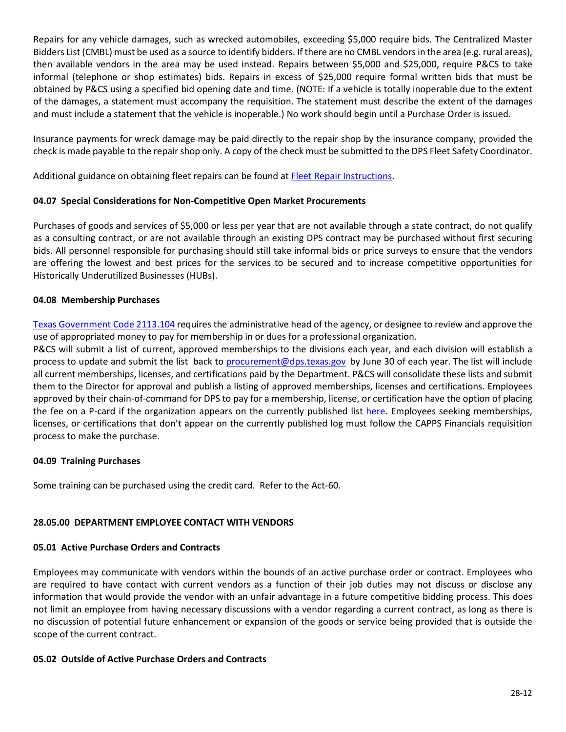Repairs for any vehicle damages, such as wrecked automobiles, exceeding \$5,000 require bids. The Centralized Master Bidders List (CMBL) must be used as a source to identify bidders. If there are no CMBL vendors in the area (e.g. rural areas), then available vendors in the area may be used instead. Repairs between \$5,000 and \$25,000, require P&CS to take informal (telephone or shop estimates) bids. Repairs in excess of \$25,000 require formal written bids that must be obtained by P&CS using a specified bid opening date and time. (NOTE: If a vehicle is totally inoperable due to the extent of the damages, a statement must accompany the requisition. The statement must describe the extent of the damages and must include a statement that the vehicle is inoperable.) No work should begin until a Purchase Order is issued.

Insurance payments for wreck damage may be paid directly to the repair shop by the insurance company, provided the check is made payable to the repair shop only. A copy of the check must be submitted to the DPS Fleet Safety Coordinator.

Additional guidance on obtaining fleet repairs can be found at [Fleet Repair Instructions.](https://portal.tle.dps/sites/admin/support/pcs/SitePages/Fleet.aspx)

# **04.07 Special Considerations for Non-Competitive Open Market Procurements**

Purchases of goods and services of \$5,000 or less per year that are not available through a state contract, do not qualify as a consulting contract, or are not available through an existing DPS contract may be purchased without first securing bids. All personnel responsible for purchasing should still take informal bids or price surveys to ensure that the vendors are offering the lowest and best prices for the services to be secured and to increase competitive opportunities for Historically Underutilized Businesses (HUBs).

# **04.08 Membership Purchases**

[Texas Government Code 2113.104](https://statutes.capitol.texas.gov/Docs/GV/htm/GV.2113.htm#2113.104) requires the administrative head of the agency, or designee to review and approve the use of appropriated money to pay for membership in or dues for a professional organization.

P&CS will submit a list of current, approved memberships to the divisions each year, and each division will establish a process to update and submit the list back to [procurement@dps.texas.gov](mailto:procurement@dps.texas.gov) by June 30 of each year. The list will include all current memberships, licenses, and certifications paid by the Department. P&CS will consolidate these lists and submit them to the Director for approval and publish a listing of approved memberships, licenses and certifications. Employees approved by their chain-of-command for DPS to pay for a membership, license, or certification have the option of placing the fee on a P-card if the organization appears on the currently published list [here.](https://portal.tle.dps/sites/admin/support/pcs/SitePages/Membership.aspx) Employees seeking memberships, licenses, or certifications that don't appear on the currently published log must follow the CAPPS Financials requisition process to make the purchase.

### **04.09 Training Purchases**

Some training can be purchased using the credit card. Refer to the Act-60.

### **28.05.00 DEPARTMENT EMPLOYEE CONTACT WITH VENDORS**

### **05.01 Active Purchase Orders and Contracts**

Employees may communicate with vendors within the bounds of an active purchase order or contract. Employees who are required to have contact with current vendors as a function of their job duties may not discuss or disclose any information that would provide the vendor with an unfair advantage in a future competitive bidding process. This does not limit an employee from having necessary discussions with a vendor regarding a current contract, as long as there is no discussion of potential future enhancement or expansion of the goods or service being provided that is outside the scope of the current contract.

### **05.02 Outside of Active Purchase Orders and Contracts**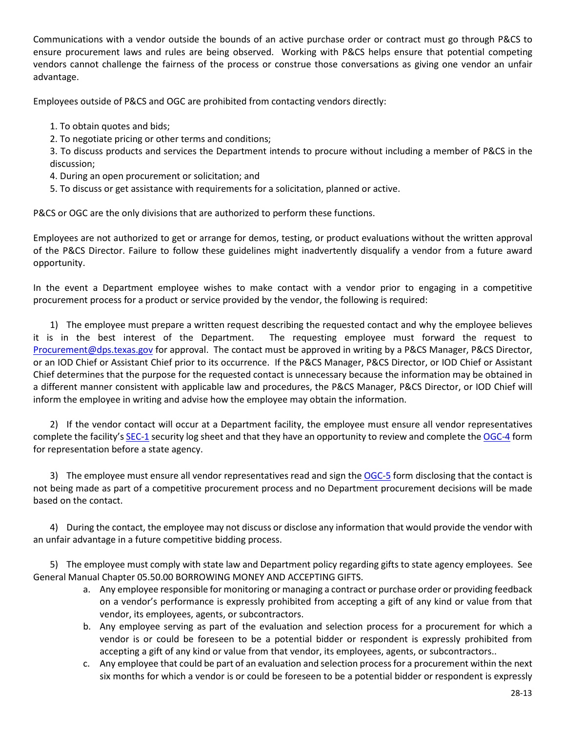Communications with a vendor outside the bounds of an active purchase order or contract must go through P&CS to ensure procurement laws and rules are being observed. Working with P&CS helps ensure that potential competing vendors cannot challenge the fairness of the process or construe those conversations as giving one vendor an unfair advantage.

Employees outside of P&CS and OGC are prohibited from contacting vendors directly:

- 1. To obtain quotes and bids;
- 2. To negotiate pricing or other terms and conditions;

3. To discuss products and services the Department intends to procure without including a member of P&CS in the discussion;

- 4. During an open procurement or solicitation; and
- 5. To discuss or get assistance with requirements for a solicitation, planned or active.

P&CS or OGC are the only divisions that are authorized to perform these functions.

Employees are not authorized to get or arrange for demos, testing, or product evaluations without the written approval of the P&CS Director. Failure to follow these guidelines might inadvertently disqualify a vendor from a future award opportunity.

In the event a Department employee wishes to make contact with a vendor prior to engaging in a competitive procurement process for a product or service provided by the vendor, the following is required:

1) The employee must prepare a written request describing the requested contact and why the employee believes it is in the best interest of the Department. The requesting employee must forward the request to [Procurement@dps.texas.gov](mailto:Procurement@dps.texas.gov) for approval. The contact must be approved in writing by a P&CS Manager, P&CS Director, or an IOD Chief or Assistant Chief prior to its occurrence. If the P&CS Manager, P&CS Director, or IOD Chief or Assistant Chief determines that the purpose for the requested contact is unnecessary because the information may be obtained in a different manner consistent with applicable law and procedures, the P&CS Manager, P&CS Director, or IOD Chief will inform the employee in writing and advise how the employee may obtain the information.

2) If the vendor contact will occur at a Department facility, the employee must ensure all vendor representatives complete the facility'[s SEC-1](http://dpsnet/intranetforms/default/Forms/SEC-1.pdf) security log sheet and that they have an opportunity to review and complete the [OGC-4](http://dpsnet/intranetforms/default/Forms/OGC-4.pdf) form for representation before a state agency.

3) The employee must ensure all vendor representatives read and sign the [OGC-5](https://dpsnet.tle.dps/intranetforms/default/FormDetail.aspx?Id=2836&FormNumber=OGC-5.docx) form disclosing that the contact is not being made as part of a competitive procurement process and no Department procurement decisions will be made based on the contact.

4) During the contact, the employee may not discuss or disclose any information that would provide the vendor with an unfair advantage in a future competitive bidding process.

5) The employee must comply with state law and Department policy regarding gifts to state agency employees. See General Manual Chapter 05.50.00 BORROWING MONEY AND ACCEPTING GIFTS.

- a. Any employee responsible for monitoring or managing a contract or purchase order or providing feedback on a vendor's performance is expressly prohibited from accepting a gift of any kind or value from that vendor, its employees, agents, or subcontractors.
- b. Any employee serving as part of the evaluation and selection process for a procurement for which a vendor is or could be foreseen to be a potential bidder or respondent is expressly prohibited from accepting a gift of any kind or value from that vendor, its employees, agents, or subcontractors..
- c. Any employee that could be part of an evaluation and selection process for a procurement within the next six months for which a vendor is or could be foreseen to be a potential bidder or respondent is expressly